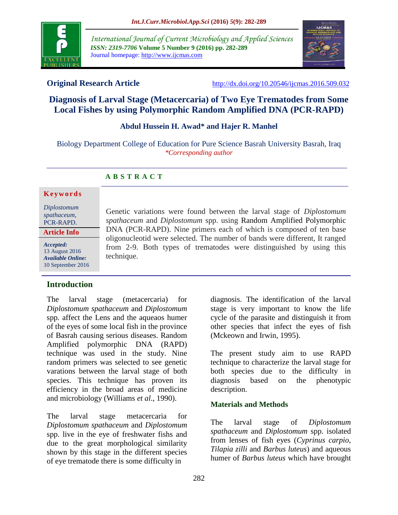

*International Journal of Current Microbiology and Applied Sciences ISSN: 2319-7706* **Volume 5 Number 9 (2016) pp. 282-289** Journal homepage: http://www.ijcmas.com



**Original Research Article** <http://dx.doi.org/10.20546/ijcmas.2016.509.032>

# **Diagnosis of Larval Stage (Metacercaria) of Two Eye Trematodes from Some Local Fishes by using Polymorphic Random Amplified DNA (PCR-RAPD)**

## **Abdul Hussein H. Awad\* and Hajer R. Manhel**

Biology Department College of Education for Pure Science Basrah University Basrah, Iraq *\*Corresponding author*

## **A B S T R A C T**

#### **K e y w o r d s**

*Diplostomum spathaceum*, PCR-RAPD.

**Article Info**

*Accepted:*  13 August 2016 *Available Online:* 10 September 2016 Genetic variations were found between the larval stage of *Diplostomum spathaceum* and *Diplostomum* spp. using Random Amplified Polymorphic DNA (PCR-RAPD). Nine primers each of which is composed of ten base oligonucleotid were selected. The number of bands were different, It ranged from 2-9. Both types of trematodes were distinguished by using this technique.

## **Introduction**

The larval stage (metacercaria) for *Diplostomum spathaceum* and *Diplostomum*  spp. affect the Lens and the aqueaos humer of the eyes of some local fish in the province of Basrah causing serious diseases. Random Amplified polymorphic DNA (RAPD) technique was used in the study. Nine random primers was selected to see genetic varations between the larval stage of both species. This technique has proven its efficiency in the broad areas of medicine and microbiology (Williams *et al*., 1990).

The larval stage metacercaria for *Diplostomum spathaceum* and *Diplostomum* spp. live in the eye of freshwater fishs and due to the great morphological similarity shown by this stage in the different species of eye trematode there is some difficulty in

diagnosis. The identification of the larval stage is very important to know the life cycle of the parasite and distinguish it from other species that infect the eyes of fish (Mckeown and Irwin, 1995).

The present study aim to use RAPD technique to characterize the larval stage for both species due to the difficulty in diagnosis based on the phenotypic description.

## **Materials and Methods**

The larval stage of *Diplostomum spathaceum* and *Diplostomum* spp. isolated from lenses of fish eyes (*Cyprinus carpio*, *Tilapia zilli* and *Barbus luteus*) and aqueous humer of *Barbus luteus* which have brought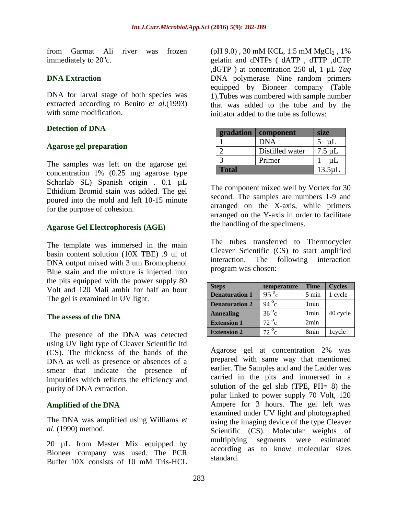from Garmat Ali river was frozen immediately to  $20^{\circ}$ c.

## **DNA Extraction**

DNA for larval stage of both species was extracted according to Benito *et al*.(1993) with some modification.

### **Detection of DNA**

### **Agarose gel preparation**

The samples was left on the agarose gel concentration 1% (0.25 mg agarose type Scharlab SL) Spanish origin . 0.1 µL Ethidium Bromid stain was added. The gel poured into the mold and left 10-15 minute for the purpose of cohesion.

## **Agarose Gel Electrophoresis (AGE)**

The template was immersed in the main basin content solution (10X TBE) .9 ul of DNA output mixed with 3 um Bromophenol Blue stain and the mixture is injected into the pits equipped with the power supply 80 Volt and 120 Mali ambir for half an hour The gel is examined in UV light.

### **The assess of the DNA**

The presence of the DNA was detected using UV light type of Cleaver Scientific Itd (CS). The thickness of the bands of the DNA as well as presence or absences of a smear that indicate the presence of impurities which reflects the efficiency and purity of DNA extraction.

### **Amplified of the DNA**

The DNA was amplified using Williams *et al*. (1990) method.

20 µL from Master Mix equipped by Bioneer company was used. The PCR Buffer 10X consists of 10 mM Tris-HCL

 $(pH 9.0)$ , 30 mM KCL, 1.5 mM MgCl<sub>2</sub>, 1% gelatin and dNTPs ( dATP , dTTP ,dCTP ,dGTP ) at concentration 250 ul, 1 µL *Taq* DNA polymerase. Nine random primers equipped by Bioneer company (Table 1).Tubes was numbered with sample number that was added to the tube and by the initiator added to the tube as follows:

| gradation    | component       | size         |
|--------------|-----------------|--------------|
|              | <b>DNA</b>      | μL           |
|              | Distilled water | $7.5 \mu L$  |
|              | Primer          | uL           |
| <b>Total</b> |                 | $13.5 \mu L$ |

The component mixed well by Vortex for 30 second. The samples are numbers 1-9 and arranged on the X-axis, while primers arranged on the Y-axis in order to facilitate the handling of the specimens.

The tubes transferred to Thermocycler Cleaver Scientific (CS) to start amplified interaction. The following interaction program was chosen:

| <b>Steps</b>          | temperature    | <b>Time</b>      | <b>Cycles</b> |
|-----------------------|----------------|------------------|---------------|
| <b>Denaturation 1</b> | $95^{\circ}$ c | $5 \text{ min}$  | 1 cycle       |
| <b>Denaturation 2</b> | 94 $\degree$ c | 1 <sub>min</sub> |               |
| <b>Annealing</b>      | $36\degree c$  | 1 <sub>min</sub> | 40 cycle      |
| <b>Extension 1</b>    | $72^{\circ}$ c | 2min             |               |
| <b>Extension 2</b>    | $72^{\circ}$ c | 8 <sub>min</sub> | 1cycle        |

Agarose gel at concentration 2% was prepared with same way that mentioned earlier. The Samples and and the Ladder was carried in the pits and immersed in a solution of the gel slab (TPE, PH= 8) the polar linked to power supply 70 Volt, 120 Ampere for 3 hours. The gel left was examined under UV light and photographed using the imaging device of the type Cleaver Scientific (CS). Molecular weights of multiplying segments were estimated according as to know molecular sizes standard.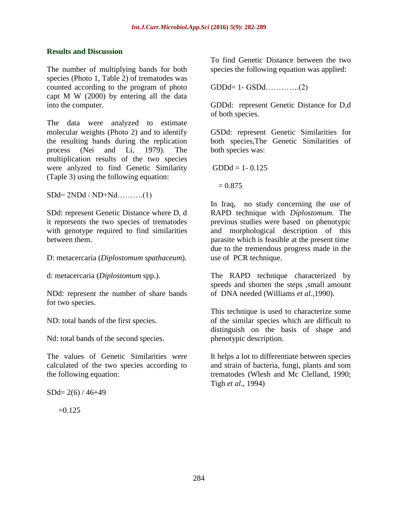## **Results and Discussion**

The number of multiplying bands for both species (Photo 1, Table 2) of trematodes was counted according to the program of photo capt M W (2000) by entering all the data into the computer.

The data were analyzed to estimate molecular weights (Photo 2) and to identify the resulting bands during the replication process (Nei and Li, 1979). The multiplication results of the two species were anlyzed to find Genetic Similarity (Taple 3) using the following equation:

 $SDd=2NDd / ND+Nd$ ..........(1)

SDd: represent Genetic Distance where D, d it represents the two species of trematodes with genotype required to find similarities between them.

D: metacercaria (*Diplostomum spathaceum*).

d: metacercaria (*Diplostomum* spp.).

NDd: represent the number of share bands for two species.

ND: total bands of the first species.

Nd: total bands of the second species.

The values of Genetic Similarities were calculated of the two species according to the following equation:

 $SDd= 2(6) / 46+49$ 

 $=0.125$ 

To find Genetic Distance between the two species the following equation was applied:

GDDd= 1- GSDd………….(2)

GDDd: represent Genetic Distance for D,d of both species.

GSDd: represent Genetic Similarities for both species,The Genetic Similarities of both species was:

 $GDDd = 1 - 0.125$ 

 $= 0.875$ 

In Iraq, no study concerning the use of RAPD technique with *Diplostomum.* The previous studies were based on phenotypic and morphological description of this parasite which is feasible at the present time due to the tremendous progress made in the use of PCR technique.

The RAPD technique characterized by speeds and shorten the steps ,small amount of DNA needed (Williams *et al*.,1990).

This technique is used to characterize some of the similar species which are difficult to distinguish on the basis of shape and phenotypic description.

It helps a lot to differentiate between species and strain of bacteria, fungi, plants and som trematodes (Wlesh and Mc Clelland, 1990; Tigh *et al*., 1994)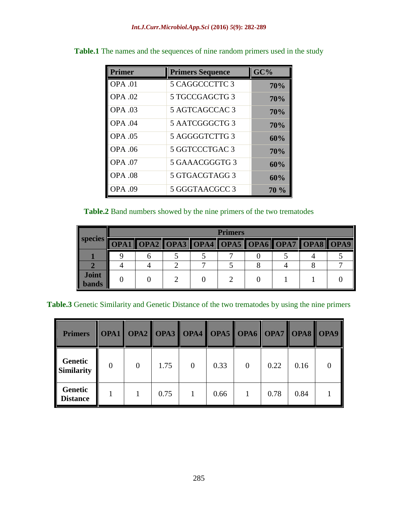| <b>Primer</b>  | <b>Primers Sequence</b> | GC%  |
|----------------|-------------------------|------|
| <b>OPA</b> .01 | 5 CAGGCCCTTC 3          | 70%  |
| <b>OPA .02</b> | 5 TGCCGAGCTG 3          | 70%  |
| <b>OPA .03</b> | 5 AGTCAGCCAC 3          | 70%  |
| <b>OPA .04</b> | 5 AATCGGGCTG 3          | 70%  |
| <b>OPA .05</b> | 5 AGGGGTCTTG 3          | 60%  |
| <b>OPA .06</b> | 5 GGTCCCTGAC 3          | 70%  |
| <b>OPA .07</b> | 5 GAAACGGGTG 3          | 60%  |
| <b>OPA .08</b> | 5 GTGACGTAGG 3          | 60%  |
| <b>OPA .09</b> | 5 GGGTAACGCC 3          | 70 % |

Table.1 The names and the sequences of nine random primers used in the study

## **Table.2** Band numbers showed by the nine primers of the two trematodes

|                              | <b>Primers</b> |  |                                              |  |  |  |  |  |  |  |  |  |  |  |
|------------------------------|----------------|--|----------------------------------------------|--|--|--|--|--|--|--|--|--|--|--|
| species                      |                |  | OPA1 OPA2 OPA3 OPA4 OPA5 OPA6 OPA7 OPA8 OPA9 |  |  |  |  |  |  |  |  |  |  |  |
|                              |                |  |                                              |  |  |  |  |  |  |  |  |  |  |  |
|                              |                |  |                                              |  |  |  |  |  |  |  |  |  |  |  |
| <b>Joint</b><br><b>bands</b> |                |  |                                              |  |  |  |  |  |  |  |  |  |  |  |

**Table.3** Genetic Similarity and Genetic Distance of the two trematodes by using the nine primers

| <b>Primers</b>                    |          |          |      |                |      |                | <b>OPA1 OPA2 OPA3 OPA4 OPA5 OPA6 OPA7 OPA8 OPA9</b> |      |  |
|-----------------------------------|----------|----------|------|----------------|------|----------------|-----------------------------------------------------|------|--|
| Genetic<br><b>Similarity</b>      | $\theta$ | $\Omega$ | 1.75 | $\overline{0}$ | 0.33 | $\overline{0}$ | 0.22                                                | 0.16 |  |
| <b>Genetic</b><br><b>Distance</b> |          |          | 0.75 |                | 0.66 |                | 0.78                                                | 0.84 |  |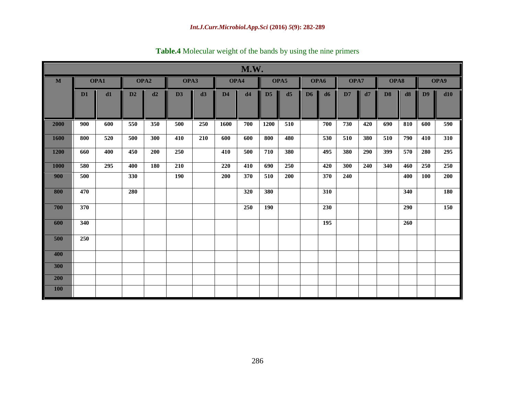|             | M.W. |     |                  |            |     |      |      |      |                |      |                |      |     |      |                |      |                |      |  |
|-------------|------|-----|------------------|------------|-----|------|------|------|----------------|------|----------------|------|-----|------|----------------|------|----------------|------|--|
| M           | OPA1 |     | OPA <sub>2</sub> |            |     | OPA3 |      | OPA4 |                | OPA5 |                | OPA6 |     | OPA7 |                | OPA8 |                | OPA9 |  |
|             | D1   | d1  | D2               | d2         | D3  | d3   | D4   | d4   | D <sub>5</sub> | d5   | D <sub>6</sub> | d6   | D7  | d7   | D <sub>8</sub> | d8   | D <sub>9</sub> | d10  |  |
| 2000        | 900  | 600 | 550              | 350        | 500 | 250  | 1600 | 700  | 1200           | 510  |                | 700  | 730 | 420  | 690            | 810  | 600            | 590  |  |
| 1600        | 800  | 520 | 500              | 300        | 410 | 210  | 600  | 600  | 800            | 480  |                | 530  | 510 | 380  | 510            | 790  | 410            | 310  |  |
| <b>1200</b> | 660  | 400 | 450              | <b>200</b> | 250 |      | 410  | 500  | 710            | 380  |                | 495  | 380 | 290  | 399            | 570  | 280            | 295  |  |
| <b>1000</b> | 580  | 295 | 400              | 180        | 210 |      | 220  | 410  | 690            | 250  |                | 420  | 300 | 240  | 340            | 460  | 250            | 250  |  |
| 900         | 500  |     | 330              |            | 190 |      | 200  | 370  | 510            | 200  |                | 370  | 240 |      |                | 400  | 100            | 200  |  |
| 800         | 470  |     | 280              |            |     |      |      | 320  | 380            |      |                | 310  |     |      |                | 340  |                | 180  |  |
| 700         | 370  |     |                  |            |     |      |      | 250  | <b>190</b>     |      |                | 230  |     |      |                | 290  |                | 150  |  |
| 600         | 340  |     |                  |            |     |      |      |      |                |      |                | 195  |     |      |                | 260  |                |      |  |
| 500         | 250  |     |                  |            |     |      |      |      |                |      |                |      |     |      |                |      |                |      |  |
| 400         |      |     |                  |            |     |      |      |      |                |      |                |      |     |      |                |      |                |      |  |
| 300         |      |     |                  |            |     |      |      |      |                |      |                |      |     |      |                |      |                |      |  |
| 200         |      |     |                  |            |     |      |      |      |                |      |                |      |     |      |                |      |                |      |  |
| <b>100</b>  |      |     |                  |            |     |      |      |      |                |      |                |      |     |      |                |      |                |      |  |

**Table.4** Molecular weight of the bands by using the nine primers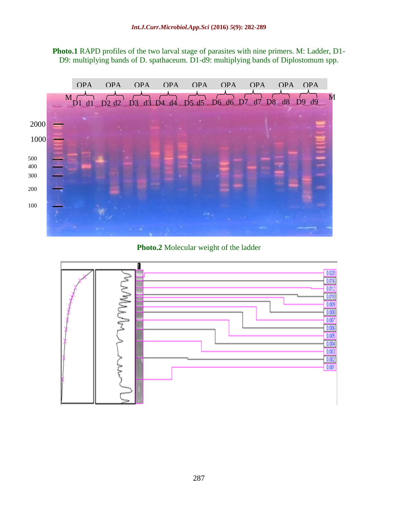



**Photo.2** Molecular weight of the ladder

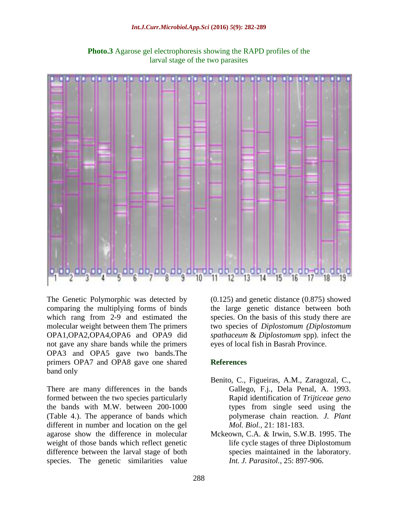#### *Int.J.Curr.Microbiol.App.Sci* **(2016)** *5***(9): 282-289**



**Photo.3** Agarose gel electrophoresis showing the RAPD profiles of the larval stage of the two parasites

The Genetic Polymorphic was detected by comparing the multiplying forms of binds which rang from 2-9 and estimated the molecular weight between them The primers OPA1,OPA2,OPA4,OPA6 and OPA9 did not gave any share bands while the primers OPA3 and OPA5 gave two bands.The primers OPA7 and OPA8 gave one shared band only

There are many differences in the bands formed between the two species particularly the bands with M.W. between 200-1000 (Table 4.). The apperance of bands which different in number and location on the gel agarose show the difference in molecular weight of those bands which reflect genetic difference between the larval stage of both species. The genetic similarities value

(0.125) and genetic distance (0.875) showed the large genetic distance between both species. On the basis of this study there are two species of *Diplostomum (Diplostomum spathaceum* & *Diplostomum* spp). infect the eyes of local fish in Basrah Province.

## **References**

- Benito, C., Figueiras, A.M., Zaragozal, C., Gallego, F.j., Dela Penal, A. 1993. Rapid identification of *Trijticeae geno* types from single seed using the polymerase chain reaction. *J. Plant Mol. Biol.,* 21: 181-183.
- Mckeown, C.A. & Irwin, S.W.B. 1995. The life cycle stages of three Diplostomum species maintained in the laboratory. *Int. J. Parasitol.,* 25: 897-906.